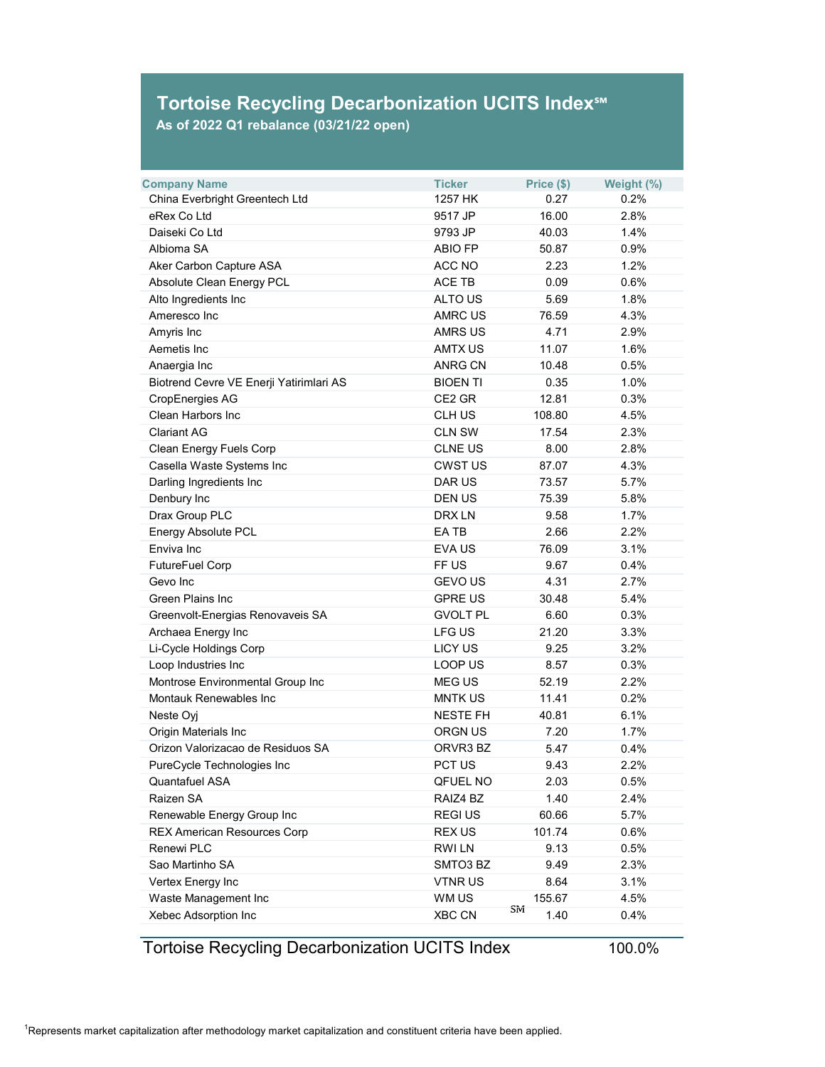## **Tortoise Recycling Decarbonization UCITS Index℠**

**As of 2022 Q1 rebalance (03/21/22 open)**

| <b>Company Name</b>                     | <b>Ticker</b>   | Price (\$)   | Weight (%) |
|-----------------------------------------|-----------------|--------------|------------|
| China Everbright Greentech Ltd          | 1257 HK         | 0.27         | 0.2%       |
| eRex Co Ltd                             | 9517 JP         | 16.00        | 2.8%       |
| Daiseki Co Ltd                          | 9793 JP         | 40.03        | 1.4%       |
| Albioma SA                              | <b>ABIO FP</b>  | 50.87        | 0.9%       |
| Aker Carbon Capture ASA                 | <b>ACC NO</b>   | 2.23         | 1.2%       |
| <b>Absolute Clean Energy PCL</b>        | <b>ACE TB</b>   | 0.09         | 0.6%       |
| Alto Ingredients Inc                    | <b>ALTO US</b>  | 5.69         | 1.8%       |
| Ameresco Inc                            | <b>AMRC US</b>  | 76.59        | 4.3%       |
| Amyris Inc                              | <b>AMRS US</b>  | 4.71         | 2.9%       |
| Aemetis Inc                             | <b>AMTX US</b>  | 11.07        | 1.6%       |
| Anaergia Inc                            | <b>ANRG CN</b>  | 10.48        | 0.5%       |
| Biotrend Cevre VE Enerji Yatirimlari AS | <b>BIOEN TI</b> | 0.35         | 1.0%       |
| <b>CropEnergies AG</b>                  | CE2 GR          | 12.81        | 0.3%       |
| <b>Clean Harbors Inc</b>                | <b>CLH US</b>   | 108.80       | 4.5%       |
| <b>Clariant AG</b>                      | <b>CLN SW</b>   | 17.54        | 2.3%       |
| <b>Clean Energy Fuels Corp</b>          | <b>CLNE US</b>  | 8.00         | 2.8%       |
| Casella Waste Systems Inc               | <b>CWST US</b>  | 87.07        | 4.3%       |
| Darling Ingredients Inc                 | <b>DAR US</b>   | 73.57        | 5.7%       |
| Denbury Inc                             | <b>DEN US</b>   | 75.39        | 5.8%       |
| Drax Group PLC                          | <b>DRXLN</b>    | 9.58         | 1.7%       |
| <b>Energy Absolute PCL</b>              | EA TB           | 2.66         | 2.2%       |
| Enviva Inc                              | <b>EVAUS</b>    | 76.09        | 3.1%       |
| <b>FutureFuel Corp</b>                  | FF US           | 9.67         | 0.4%       |
| Gevo Inc                                | <b>GEVOUS</b>   | 4.31         | 2.7%       |
| <b>Green Plains Inc</b>                 | <b>GPRE US</b>  | 30.48        | 5.4%       |
| Greenvolt-Energias Renovaveis SA        | <b>GVOLT PL</b> | 6.60         | 0.3%       |
| Archaea Energy Inc                      | <b>LFG US</b>   | 21.20        | 3.3%       |
| Li-Cycle Holdings Corp                  | <b>LICY US</b>  | 9.25         | 3.2%       |
| Loop Industries Inc                     | <b>LOOP US</b>  | 8.57         | 0.3%       |
| Montrose Environmental Group Inc        | <b>MEGUS</b>    | 52.19        | 2.2%       |
| <b>Montauk Renewables Inc</b>           | <b>MNTK US</b>  | 11.41        | 0.2%       |
| Neste Oyj                               | <b>NESTE FH</b> | 40.81        | 6.1%       |
| <b>Origin Materials Inc</b>             | <b>ORGN US</b>  | 7.20         | 1.7%       |
| Orizon Valorizacao de Residuos SA       | ORVR3 BZ        | 5.47         | 0.4%       |
| PureCycle Technologies Inc              | PCT US          | 9.43         | 2.2%       |
| <b>Quantafuel ASA</b>                   | <b>QFUEL NO</b> | 2.03         | 0.5%       |
| Raizen SA                               | RAIZ4 BZ        | 1.40         | 2.4%       |
| Renewable Energy Group Inc              | <b>REGIUS</b>   | 60.66        | 5.7%       |
| <b>REX American Resources Corp</b>      | <b>REX US</b>   | 101.74       | 0.6%       |
| <b>Renewi PLC</b>                       | <b>RWILN</b>    | 9.13         | 0.5%       |
| Sao Martinho SA                         | SMTO3 BZ        | 9.49         | 2.3%       |
| Vertex Energy Inc                       | <b>VTNRUS</b>   | 8.64         | 3.1%       |
| Waste Management Inc                    | WM US           | 155.67       | 4.5%       |
| Xebec Adsorption Inc                    | <b>XBC CN</b>   | Sivi<br>1.40 | 0.4%       |

## Tortoise Recycling Decarbonization UCITS Index 100.0%

 $^{\rm 1}$ Represents market capitalization after methodology market capitalization and constituent criteria have been applied.